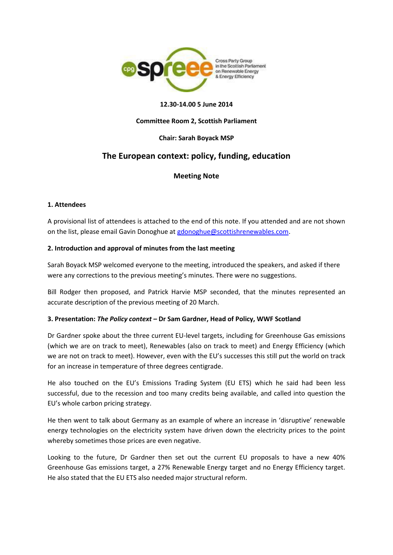

### **12.30-14.00 5 June 2014**

### **Committee Room 2, Scottish Parliament**

### **Chair: Sarah Boyack MSP**

# **The European context: policy, funding, education**

# **Meeting Note**

#### **1. Attendees**

A provisional list of attendees is attached to the end of this note. If you attended and are not shown on the list, please email Gavin Donoghue a[t gdonoghue@scottishrenewables.com.](mailto:gdonoghue@scottishrenewables.com)

### **2. Introduction and approval of minutes from the last meeting**

Sarah Boyack MSP welcomed everyone to the meeting, introduced the speakers, and asked if there were any corrections to the previous meeting's minutes. There were no suggestions.

Bill Rodger then proposed, and Patrick Harvie MSP seconded, that the minutes represented an accurate description of the previous meeting of 20 March.

# **3. Presentation:** *The Policy context –* **Dr Sam Gardner, Head of Policy, WWF Scotland**

Dr Gardner spoke about the three current EU-level targets, including for Greenhouse Gas emissions (which we are on track to meet), Renewables (also on track to meet) and Energy Efficiency (which we are not on track to meet). However, even with the EU's successes this still put the world on track for an increase in temperature of three degrees centigrade.

He also touched on the EU's Emissions Trading System (EU ETS) which he said had been less successful, due to the recession and too many credits being available, and called into question the EU's whole carbon pricing strategy.

He then went to talk about Germany as an example of where an increase in 'disruptive' renewable energy technologies on the electricity system have driven down the electricity prices to the point whereby sometimes those prices are even negative.

Looking to the future, Dr Gardner then set out the current EU proposals to have a new 40% Greenhouse Gas emissions target, a 27% Renewable Energy target and no Energy Efficiency target. He also stated that the EU ETS also needed major structural reform.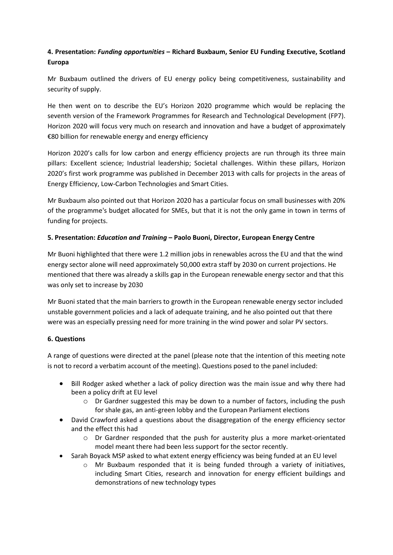# **4. Presentation:** *Funding opportunities* **– Richard Buxbaum, Senior EU Funding Executive, Scotland Europa**

Mr Buxbaum outlined the drivers of EU energy policy being competitiveness, sustainability and security of supply.

He then went on to describe the EU's Horizon 2020 programme which would be replacing the seventh version of the Framework Programmes for Research and Technological Development (FP7). Horizon 2020 will focus very much on research and innovation and have a budget of approximately €80 billion for renewable energy and energy efficiency

Horizon 2020's calls for low carbon and energy efficiency projects are run through its three main pillars: Excellent science; Industrial leadership; Societal challenges. Within these pillars, Horizon 2020's first work programme was published in December 2013 with calls for projects in the areas of Energy Efficiency, Low-Carbon Technologies and Smart Cities.

Mr Buxbaum also pointed out that Horizon 2020 has a particular focus on small businesses with 20% of the programme's budget allocated for SMEs, but that it is not the only game in town in terms of funding for projects.

# **5. Presentation:** *Education and Training* **– Paolo Buoni, Director, European Energy Centre**

Mr Buoni highlighted that there were 1.2 million jobs in renewables across the EU and that the wind energy sector alone will need approximately 50,000 extra staff by 2030 on current projections. He mentioned that there was already a skills gap in the European renewable energy sector and that this was only set to increase by 2030

Mr Buoni stated that the main barriers to growth in the European renewable energy sector included unstable government policies and a lack of adequate training, and he also pointed out that there were was an especially pressing need for more training in the wind power and solar PV sectors.

# **6. Questions**

A range of questions were directed at the panel (please note that the intention of this meeting note is not to record a verbatim account of the meeting). Questions posed to the panel included:

- Bill Rodger asked whether a lack of policy direction was the main issue and why there had been a policy drift at EU level
	- o Dr Gardner suggested this may be down to a number of factors, including the push for shale gas, an anti-green lobby and the European Parliament elections
- David Crawford asked a questions about the disaggregation of the energy efficiency sector and the effect this had
	- $\circ$  Dr Gardner responded that the push for austerity plus a more market-orientated model meant there had been less support for the sector recently.
- Sarah Boyack MSP asked to what extent energy efficiency was being funded at an EU level
	- Mr Buxbaum responded that it is being funded through a variety of initiatives, including Smart Cities, research and innovation for energy efficient buildings and demonstrations of new technology types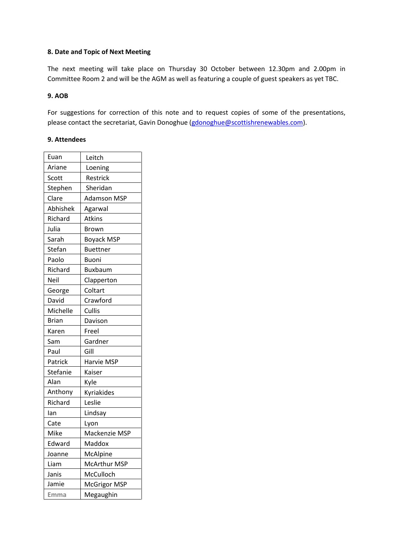#### **8. Date and Topic of Next Meeting**

The next meeting will take place on Thursday 30 October between 12.30pm and 2.00pm in Committee Room 2 and will be the AGM as well as featuring a couple of guest speakers as yet TBC.

#### **9. AOB**

For suggestions for correction of this note and to request copies of some of the presentations, please contact the secretariat, Gavin Donoghue [\(gdonoghue@scottishrenewables.com\)](mailto:gdonoghue@scottishrenewables.com).

#### **9. Attendees**

| Euan         | Leitch              |
|--------------|---------------------|
| Ariane       | Loening             |
| Scott        | Restrick            |
| Stephen      | Sheridan            |
| Clare        | <b>Adamson MSP</b>  |
| Abhishek     | Agarwal             |
| Richard      | <b>Atkins</b>       |
| Julia        | Brown               |
| Sarah        | <b>Boyack MSP</b>   |
| Stefan       | <b>Buettner</b>     |
| Paolo        | Buoni               |
| Richard      | <b>Buxbaum</b>      |
| Neil         | Clapperton          |
| George       | Coltart             |
| David        | Crawford            |
| Michelle     | Cullis              |
| <b>Brian</b> | Davison             |
| Karen        | Freel               |
| Sam          | Gardner             |
| Paul         | Gill                |
| Patrick      | Harvie MSP          |
| Stefanie     | Kaiser              |
| Alan         | Kyle                |
| Anthony      | Kyriakides          |
| Richard      | Leslie              |
| lan          | Lindsay             |
| Cate         | Lyon                |
| Mike         | Mackenzie MSP       |
| Edward       | Maddox              |
| Joanne       | McAlpine            |
| Liam         | <b>McArthur MSP</b> |
| Janis        | McCulloch           |
| Jamie        | McGrigor MSP        |
| Emma         | Megaughin           |